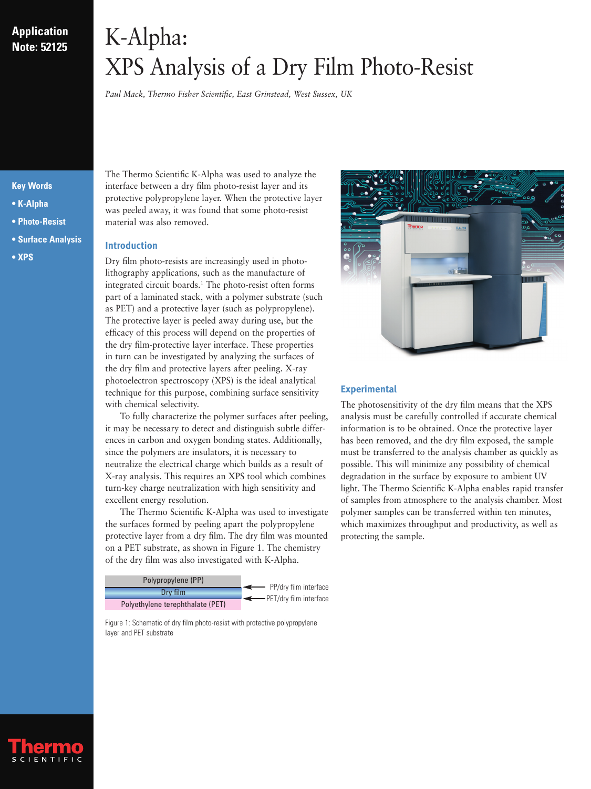## **Application Note: 52125**

# K-Alpha: XPS Analysis of a Dry Film Photo-Resist

*Paul Mack, Thermo Fisher Scientific, East Grinstead, West Sussex, UK*

### **Key Words**

- **K-Alpha**
- **Photo-Resist**
- **Surface Analysis**
- **XPS**

The Thermo Scientific K-Alpha was used to analyze the interface between a dry film photo-resist layer and its protective polypropylene layer. When the protective layer was peeled away, it was found that some photo-resist material was also removed.

#### **Introduction**

Dry film photo-resists are increasingly used in photolithography applications, such as the manufacture of integrated circuit boards.1 The photo-resist often forms part of a laminated stack, with a polymer substrate (such as PET) and a protective layer (such as polypropylene). The protective layer is peeled away during use, but the efficacy of this process will depend on the properties of the dry film-protective layer interface. These properties in turn can be investigated by analyzing the surfaces of the dry film and protective layers after peeling. X-ray photoelectron spectroscopy (XPS) is the ideal analytical technique for this purpose, combining surface sensitivity with chemical selectivity.

To fully characterize the polymer surfaces after peeling, it may be necessary to detect and distinguish subtle differences in carbon and oxygen bonding states. Additionally, since the polymers are insulators, it is necessary to neutralize the electrical charge which builds as a result of X-ray analysis. This requires an XPS tool which combines turn-key charge neutralization with high sensitivity and excellent energy resolution.

The Thermo Scientific K-Alpha was used to investigate the surfaces formed by peeling apart the polypropylene protective layer from a dry film. The dry film was mounted on a PET substrate, as shown in Figure 1. The chemistry of the dry film was also investigated with K-Alpha.



Figure 1: Schematic of dry film photo-resist with protective polypropylene layer and PET substrate



### **Experimental**

The photosensitivity of the dry film means that the XPS analysis must be carefully controlled if accurate chemical information is to be obtained. Once the protective layer has been removed, and the dry film exposed, the sample must be transferred to the analysis chamber as quickly as possible. This will minimize any possibility of chemical degradation in the surface by exposure to ambient UV light. The Thermo Scientific K-Alpha enables rapid transfer of samples from atmosphere to the analysis chamber. Most polymer samples can be transferred within ten minutes, which maximizes throughput and productivity, as well as protecting the sample.